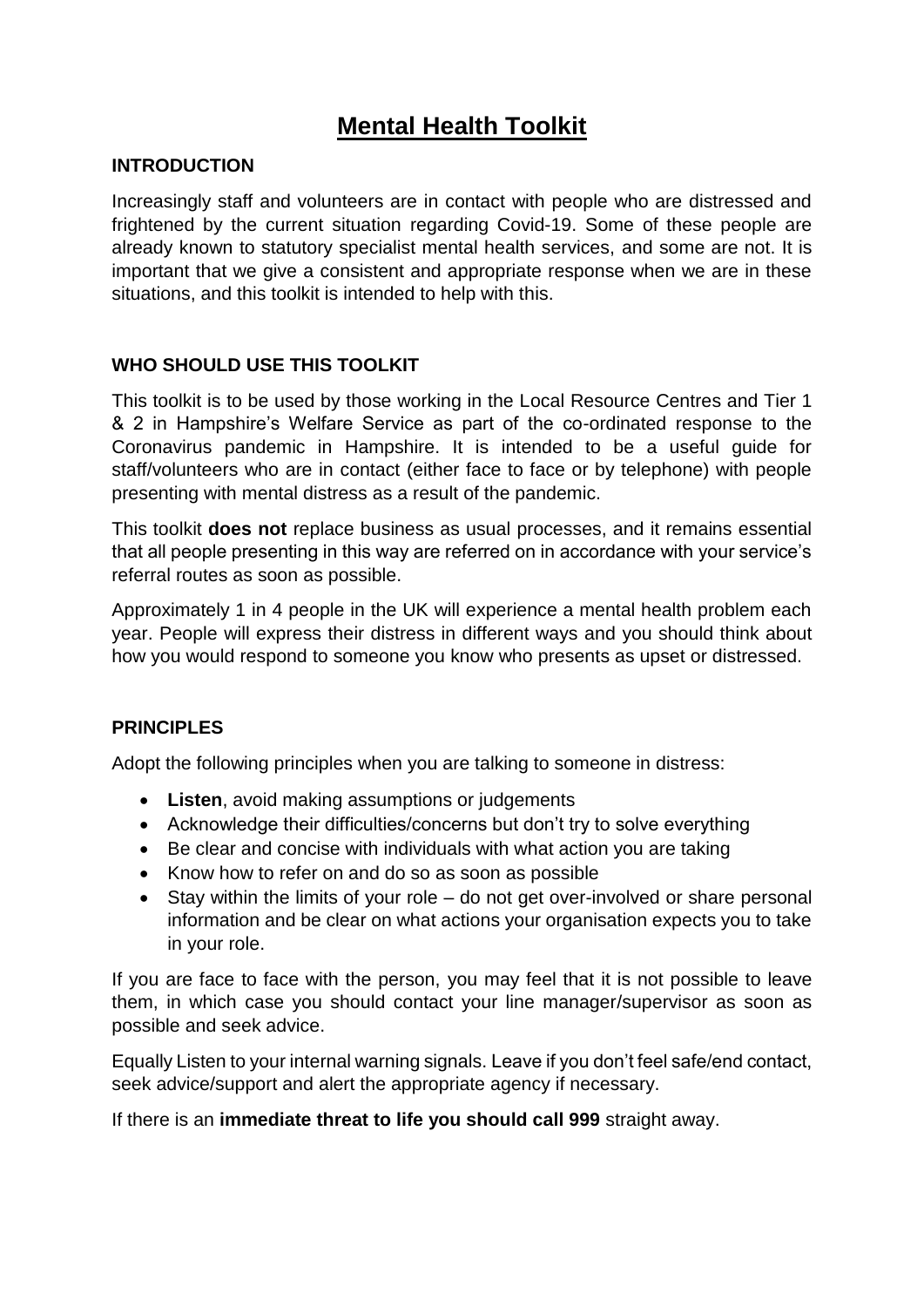# **Mental Health Toolkit**

#### **INTRODUCTION**

Increasingly staff and volunteers are in contact with people who are distressed and frightened by the current situation regarding Covid-19. Some of these people are already known to statutory specialist mental health services, and some are not. It is important that we give a consistent and appropriate response when we are in these situations, and this toolkit is intended to help with this.

#### **WHO SHOULD USE THIS TOOLKIT**

This toolkit is to be used by those working in the Local Resource Centres and Tier 1 & 2 in Hampshire's Welfare Service as part of the co-ordinated response to the Coronavirus pandemic in Hampshire. It is intended to be a useful guide for staff/volunteers who are in contact (either face to face or by telephone) with people presenting with mental distress as a result of the pandemic.

This toolkit **does not** replace business as usual processes, and it remains essential that all people presenting in this way are referred on in accordance with your service's referral routes as soon as possible.

Approximately 1 in 4 people in the UK will experience a mental health problem each year. People will express their distress in different ways and you should think about how you would respond to someone you know who presents as upset or distressed.

#### **PRINCIPLES**

Adopt the following principles when you are talking to someone in distress:

- **Listen**, avoid making assumptions or judgements
- Acknowledge their difficulties/concerns but don't try to solve everything
- Be clear and concise with individuals with what action you are taking
- Know how to refer on and do so as soon as possible
- Stay within the limits of your role do not get over-involved or share personal information and be clear on what actions your organisation expects you to take in your role.

If you are face to face with the person, you may feel that it is not possible to leave them, in which case you should contact your line manager/supervisor as soon as possible and seek advice.

Equally Listen to your internal warning signals. Leave if you don't feel safe/end contact, seek advice/support and alert the appropriate agency if necessary.

If there is an **immediate threat to life you should call 999** straight away.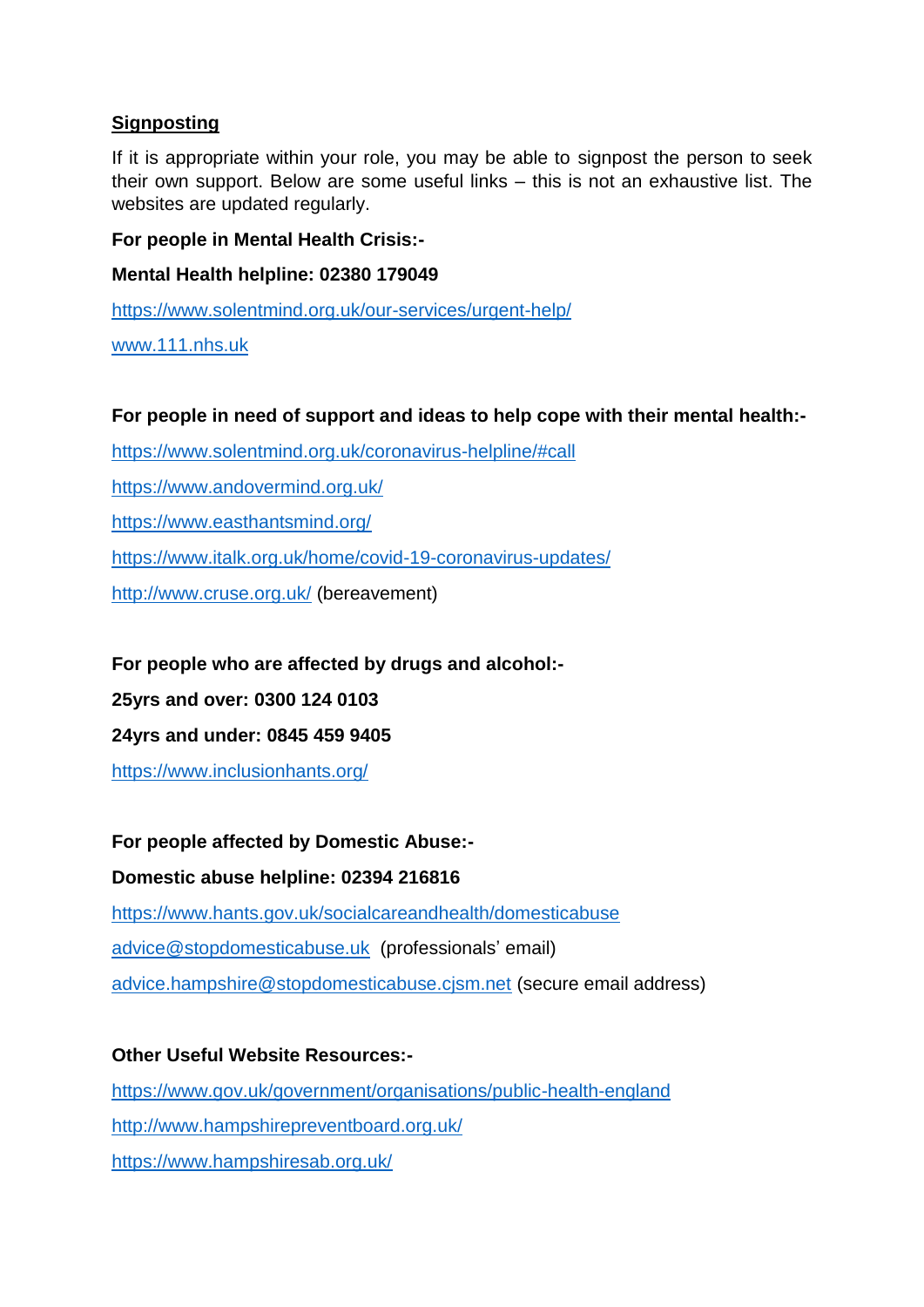# **Signposting**

If it is appropriate within your role, you may be able to signpost the person to seek their own support. Below are some useful links – this is not an exhaustive list. The websites are updated regularly.

## **For people in Mental Health Crisis:-**

## **Mental Health helpline: 02380 179049**

<https://www.solentmind.org.uk/our-services/urgent-help/>

[www.111.nhs.uk](http://www.111.nhs.uk/)

#### **For people in need of support and ideas to help cope with their mental health:-**

<https://www.solentmind.org.uk/coronavirus-helpline/#call>

<https://www.andovermind.org.uk/>

<https://www.easthantsmind.org/>

<https://www.italk.org.uk/home/covid-19-coronavirus-updates/>

<http://www.cruse.org.uk/> (bereavement)

## **For people who are affected by drugs and alcohol:-**

**25yrs and over: 0300 124 0103**

**24yrs and under: 0845 459 9405**

<https://www.inclusionhants.org/>

## **For people affected by Domestic Abuse:-**

## **Domestic abuse helpline: 02394 216816**

<https://www.hants.gov.uk/socialcareandhealth/domesticabuse> [advice@stopdomesticabuse.uk](mailto:advice@stopdomesticabuse.uk) (professionals' email) [advice.hampshire@stopdomesticabuse.cjsm.net](mailto:advice.hampshire@stopdomesticabuse.cjsm.net) (secure email address)

## **Other Useful Website Resources:-**

<https://www.gov.uk/government/organisations/public-health-england> <http://www.hampshirepreventboard.org.uk/> <https://www.hampshiresab.org.uk/>